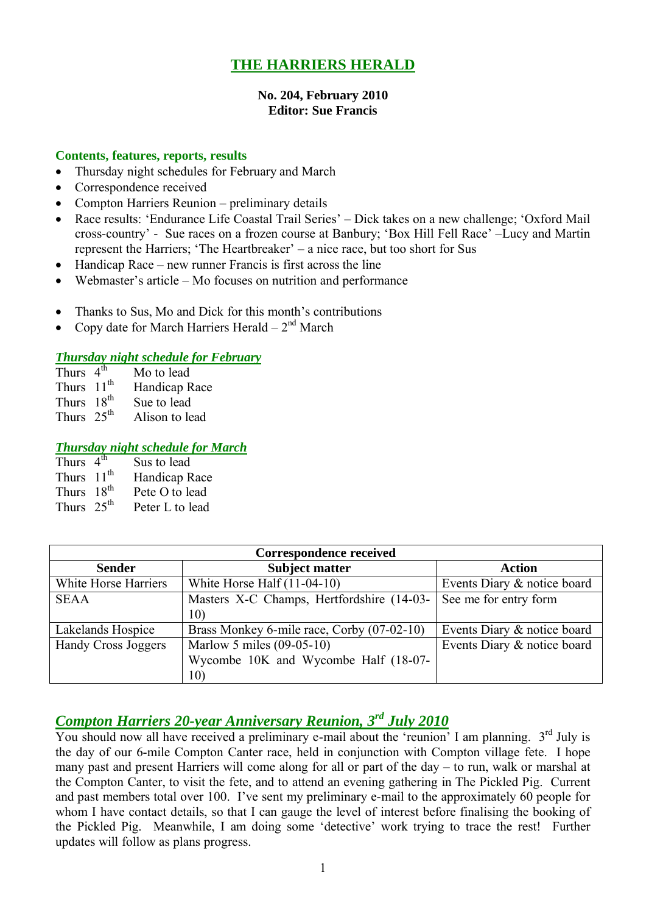# **THE HARRIERS HERALD**

#### **No. 204, February 2010 Editor: Sue Francis**

### **Contents, features, reports, results**

- Thursday night schedules for February and March
- Correspondence received
- Compton Harriers Reunion preliminary details
- Race results: 'Endurance Life Coastal Trail Series' Dick takes on a new challenge; 'Oxford Mail cross-country' - Sue races on a frozen course at Banbury; 'Box Hill Fell Race' –Lucy and Martin represent the Harriers; 'The Heartbreaker' – a nice race, but too short for Sus
- Handicap Race new runner Francis is first across the line
- Webmaster's article Mo focuses on nutrition and performance
- Thanks to Sus, Mo and Dick for this month's contributions
- Copy date for March Harriers Herald  $2<sup>nd</sup>$  March

### *Thursday night schedule for February*

| Thurs $4^{\overline{th}}$ | Mo to lead     |
|---------------------------|----------------|
| Thurs $11th$              | Handicap Race  |
| Thurs 18 <sup>th</sup>    | Sue to lead    |
| Thurs $25^{th}$           | Alison to lead |

### *Thursday night schedule for March*

| Thurs $4^{\overline{th}}$ | Sus to lead     |
|---------------------------|-----------------|
| Thurs $11th$              | Handicap Race   |
| Thurs $18^{th}$           | Pete O to lead  |
| Thurs $25th$              | Peter L to lead |

| <b>Correspondence received</b> |                                            |                             |  |  |  |  |
|--------------------------------|--------------------------------------------|-----------------------------|--|--|--|--|
| <b>Sender</b>                  | <b>Subject matter</b>                      | <b>Action</b>               |  |  |  |  |
| White Horse Harriers           | White Horse Half $(11-04-10)$              | Events Diary & notice board |  |  |  |  |
| <b>SEAA</b>                    | Masters X-C Champs, Hertfordshire (14-03-  | See me for entry form       |  |  |  |  |
|                                | 10)                                        |                             |  |  |  |  |
| Lakelands Hospice              | Brass Monkey 6-mile race, Corby (07-02-10) | Events Diary & notice board |  |  |  |  |
| Handy Cross Joggers            | Marlow 5 miles (09-05-10)                  | Events Diary & notice board |  |  |  |  |
|                                | Wycombe 10K and Wycombe Half (18-07-       |                             |  |  |  |  |
|                                | 10)                                        |                             |  |  |  |  |

# *Compton Harriers 20-year Anniversary Reunion, 3 rd July 2010*

You should now all have received a preliminary e-mail about the 'reunion' I am planning.  $3<sup>rd</sup>$  July is the day of our 6-mile Compton Canter race, held in conjunction with Compton village fete. I hope many past and present Harriers will come along for all or part of the day – to run, walk or marshal at the Compton Canter, to visit the fete, and to attend an evening gathering in The Pickled Pig. Current and past members total over 100. I've sent my preliminary e-mail to the approximately 60 people for whom I have contact details, so that I can gauge the level of interest before finalising the booking of the Pickled Pig. Meanwhile, I am doing some 'detective' work trying to trace the rest! Further updates will follow as plans progress.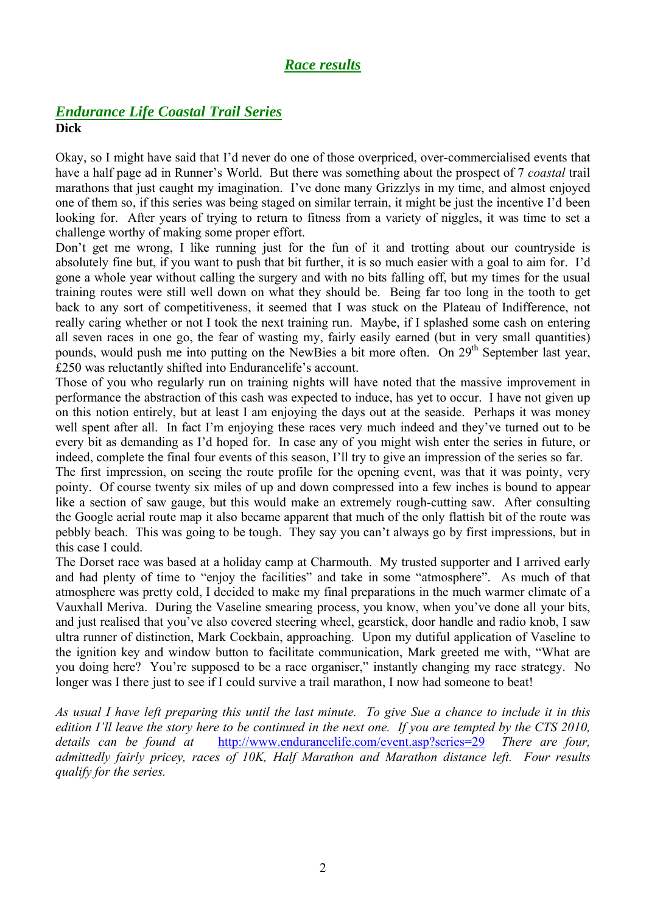# *Race results*

### *Endurance Life Coastal Trail Series* **Dick**

Okay, so I might have said that I'd never do one of those overpriced, over-commercialised events that have a half page ad in Runner's World. But there was something about the prospect of 7 *coastal* trail marathons that just caught my imagination. I've done many Grizzlys in my time, and almost enjoyed one of them so, if this series was being staged on similar terrain, it might be just the incentive I'd been looking for. After years of trying to return to fitness from a variety of niggles, it was time to set a challenge worthy of making some proper effort.

Don't get me wrong, I like running just for the fun of it and trotting about our countryside is absolutely fine but, if you want to push that bit further, it is so much easier with a goal to aim for. I'd gone a whole year without calling the surgery and with no bits falling off, but my times for the usual training routes were still well down on what they should be. Being far too long in the tooth to get back to any sort of competitiveness, it seemed that I was stuck on the Plateau of Indifference, not really caring whether or not I took the next training run. Maybe, if I splashed some cash on entering all seven races in one go, the fear of wasting my, fairly easily earned (but in very small quantities) pounds, would push me into putting on the NewBies a bit more often. On 29<sup>th</sup> September last year, É250 was reluctantly shifted into Endurancelife's account.

Those of you who regularly run on training nights will have noted that the massive improvement in performance the abstraction of this cash was expected to induce, has yet to occur. I have not given up on this notion entirely, but at least I am enjoying the days out at the seaside. Perhaps it was money well spent after all. In fact I'm enjoying these races very much indeed and they've turned out to be every bit as demanding as I'd hoped for. In case any of you might wish enter the series in future, or indeed, complete the final four events of this season, I'll try to give an impression of the series so far.

The first impression, on seeing the route profile for the opening event, was that it was pointy, very pointy. Of course twenty six miles of up and down compressed into a few inches is bound to appear like a section of saw gauge, but this would make an extremely rough-cutting saw. After consulting the Google aerial route map it also became apparent that much of the only flattish bit of the route was pebbly beach. This was going to be tough. They say you can't always go by first impressions, but in this case I could.

The Dorset race was based at a holiday camp at Charmouth. My trusted supporter and I arrived early and had plenty of time to "enjoy the facilities" and take in some "atmosphere". As much of that atmosphere was pretty cold, I decided to make my final preparations in the much warmer climate of a Vauxhall Meriva. During the Vaseline smearing process, you know, when you've done all your bits, and just realised that you've also covered steering wheel, gearstick, door handle and radio knob, I saw ultra runner of distinction, Mark Cockbain, approaching. Upon my dutiful application of Vaseline to the ignition key and window button to facilitate communication, Mark greeted me with, "What are you doing here? You're supposed to be a race organiser," instantly changing my race strategy. No longer was I there just to see if I could survive a trail marathon, I now had someone to beat!

*As usual I have left preparing this until the last minute. To give Sue a chance to include it in this edition I'll leave the story here to be continued in the next one. If you are tempted by the CTS 2010, details can be found at* http://www.endurancelife.com/event.asp?series=29 *There are four, admittedly fairly pricey, races of 10K, Half Marathon and Marathon distance left. Four results qualify for the series.*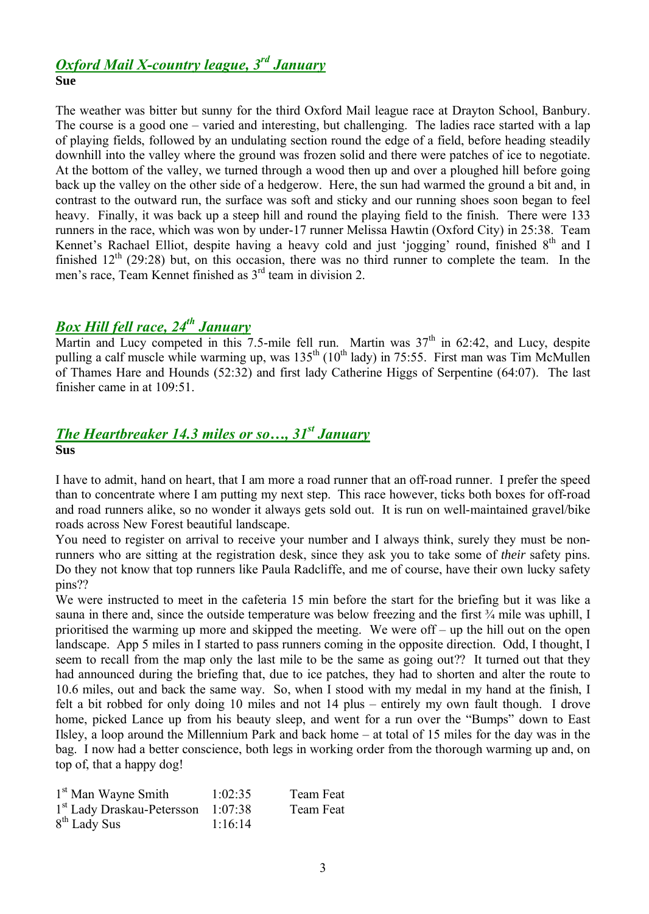# *Oxford Mail X-country league, 3 rd January* **Sue**

The weather was bitter but sunny for the third Oxford Mail league race at Drayton School, Banbury. The course is a good one – varied and interesting, but challenging. The ladies race started with a lap of playing fields, followed by an undulating section round the edge of a field, before heading steadily downhill into the valley where the ground was frozen solid and there were patches of ice to negotiate. At the bottom of the valley, we turned through a wood then up and over a ploughed hill before going back up the valley on the other side of a hedgerow. Here, the sun had warmed the ground a bit and, in contrast to the outward run, the surface was soft and sticky and our running shoes soon began to feel heavy. Finally, it was back up a steep hill and round the playing field to the finish. There were 133 runners in the race, which was won by under-17 runner Melissa Hawtin (Oxford City) in 25:38. Team Kennet's Rachael Elliot, despite having a heavy cold and just 'jogging' round, finished 8<sup>th</sup> and I finished  $12<sup>th</sup>$  (29:28) but, on this occasion, there was no third runner to complete the team. In the men's race, Team Kennet finished as 3<sup>rd</sup> team in division 2.

# *Box Hill fell race, 24th January*

Martin and Lucy competed in this 7.5-mile fell run. Martin was  $37<sup>th</sup>$  in 62:42, and Lucy, despite pulling a calf muscle while warming up, was  $135<sup>th</sup> (10<sup>th</sup>$  lady) in 75:55. First man was Tim McMullen of Thames Hare and Hounds (52:32) and first lady Catherine Higgs of Serpentine (64:07). The last finisher came in at 109:51.

# *The Heartbreaker 14.3 miles or so…, 31st January*

**Sus**

I have to admit, hand on heart, that I am more a road runner that an off-road runner. I prefer the speed than to concentrate where I am putting my next step. This race however, ticks both boxes for off-road and road runners alike, so no wonder it always gets sold out. It is run on well-maintained gravel/bike roads across New Forest beautiful landscape.

You need to register on arrival to receive your number and I always think, surely they must be nonrunners who are sitting at the registration desk, since they ask you to take some of *their* safety pins. Do they not know that top runners like Paula Radcliffe, and me of course, have their own lucky safety pins??

We were instructed to meet in the cafeteria 15 min before the start for the briefing but it was like a sauna in there and, since the outside temperature was below freezing and the first  $\frac{3}{4}$  mile was uphill, I prioritised the warming up more and skipped the meeting. We were off – up the hill out on the open landscape. App 5 miles in I started to pass runners coming in the opposite direction. Odd, I thought, I seem to recall from the map only the last mile to be the same as going out?? It turned out that they had announced during the briefing that, due to ice patches, they had to shorten and alter the route to 10.6 miles, out and back the same way. So, when I stood with my medal in my hand at the finish, I felt a bit robbed for only doing 10 miles and not 14 plus – entirely my own fault though. I drove home, picked Lance up from his beauty sleep, and went for a run over the "Bumps" down to East Ilsley, a loop around the Millennium Park and back home – at total of 15 miles for the day was in the bag. I now had a better conscience, both legs in working order from the thorough warming up and, on top of, that a happy dog!

| 1 <sup>st</sup> Man Wayne Smith        | 1:02:35 | Team Feat |
|----------------------------------------|---------|-----------|
| 1 <sup>st</sup> Lady Draskau-Petersson | 1:07:38 | Team Feat |
| $8th$ Lady Sus                         | 1:16:14 |           |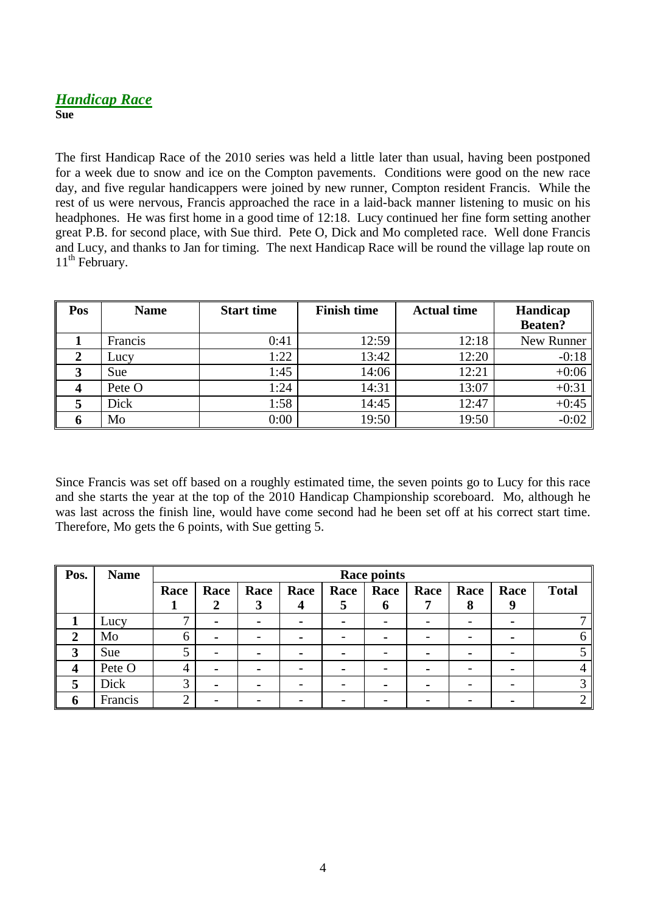# *Handicap Race* **Sue**

The first Handicap Race of the 2010 series was held a little later than usual, having been postponed for a week due to snow and ice on the Compton pavements. Conditions were good on the new race day, and five regular handicappers were joined by new runner, Compton resident Francis. While the rest of us were nervous, Francis approached the race in a laid-back manner listening to music on his headphones. He was first home in a good time of 12:18. Lucy continued her fine form setting another great P.B. for second place, with Sue third. Pete O, Dick and Mo completed race. Well done Francis and Lucy, and thanks to Jan for timing. The next Handicap Race will be round the village lap route on 11<sup>th</sup> February.

| Pos | <b>Name</b> | <b>Start time</b> | <b>Finish time</b> | <b>Actual time</b> | Handicap<br><b>Beaten?</b> |
|-----|-------------|-------------------|--------------------|--------------------|----------------------------|
|     | Francis     | 0:41              | 12:59              | 12:18              | New Runner                 |
| 2   | Lucy        | 1:22              | 13:42              | 12:20              | $-0:18$                    |
| 3   | Sue         | 1:45              | 14:06              | 12:21              | $+0:06$                    |
|     | Pete O      | 1:24              | 14:31              | 13:07              | $+0:31$                    |
|     | Dick        | 1:58              | 14:45              | 12:47              | $+0:45$                    |
| O   | Mo          | 0:00              | 19:50              | 19:50              | $-0:02$                    |

Since Francis was set off based on a roughly estimated time, the seven points go to Lucy for this race and she starts the year at the top of the 2010 Handicap Championship scoreboard. Mo, although he was last across the finish line, would have come second had he been set off at his correct start time. Therefore, Mo gets the 6 points, with Sue getting 5.

| Pos.             | <b>Name</b> | <b>Race points</b> |                |                |      |      |      |      |      |      |              |
|------------------|-------------|--------------------|----------------|----------------|------|------|------|------|------|------|--------------|
|                  |             | Race               | Race           | Race           | Race | Race | Race | Race | Race | Race | <b>Total</b> |
|                  |             |                    |                |                |      | ⊃    | o    |      | O    |      |              |
|                  | Lucy        |                    | $\blacksquare$ | $\blacksquare$ |      |      |      |      |      |      |              |
| 2                | Mo          | b                  | $\blacksquare$ |                |      |      |      |      |      |      |              |
| $\mathbf{3}$     | Sue         |                    |                |                |      |      |      |      |      |      |              |
| $\boldsymbol{4}$ | Pete O      | 4                  | $\blacksquare$ |                |      |      |      |      |      |      |              |
| 5                | Dick        | 3                  | $\blacksquare$ |                |      |      |      |      |      |      |              |
| 6                | Francis     |                    |                |                |      |      |      |      |      |      |              |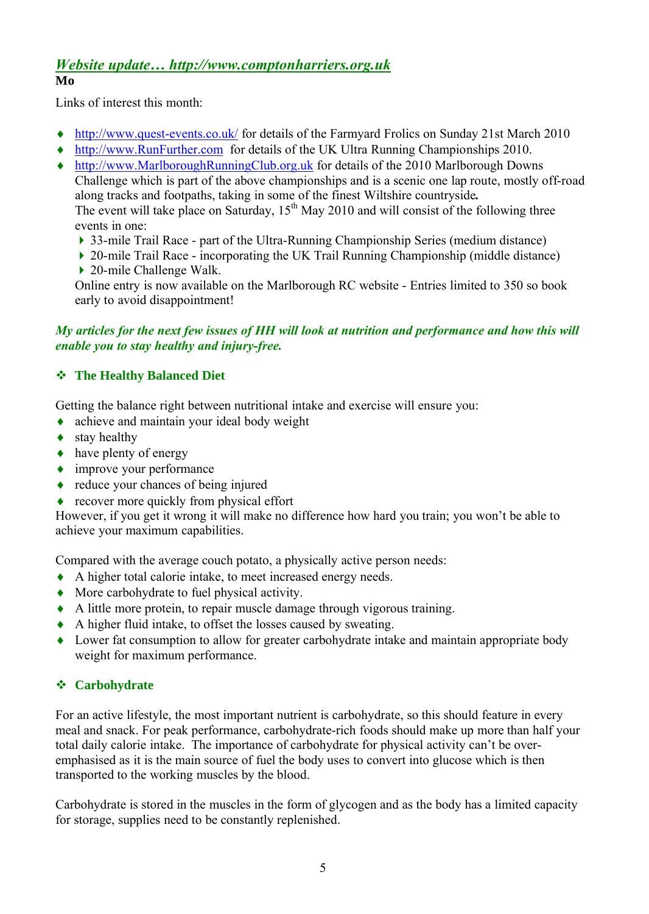#### *Website update… http://www.comptonharriers.org.uk* **Mo**

Links of interest this month:

- ♦ http://www.quest-events.co.uk/ for details of the Farmyard Frolics on Sunday 21st March 2010
- http://www.RunFurther.com for details of the UK Ultra Running Championships 2010.
- http://www.MarlboroughRunningClub.org.uk for details of the 2010 Marlborough Downs Challenge which is part of the above championships and is a scenic one lap route, mostly off-road along tracks and footpaths, taking in some of the finest Wiltshire countryside*.* The event will take place on Saturday,  $15<sup>th</sup>$  May 2010 and will consist of the following three events in one:
	- 33-mile Trail Race part of the Ultra-Running Championship Series (medium distance)
	- ▶ 20-mile Trail Race incorporating the UK Trail Running Championship (middle distance) ▶ 20-mile Challenge Walk.

Online entry is now available on the Marlborough RC website - Entries limited to 350 so book early to avoid disappointment!

## *My articles for the next few issues of HH will look at nutrition and performance and how this will enable you to stay healthy and injury-free.*

## **The Healthy Balanced Diet**

Getting the balance right between nutritional intake and exercise will ensure you:

- achieve and maintain your ideal body weight
- $\bullet$  stay healthy
- $\leftrightarrow$  have plenty of energy
- improve your performance
- reduce your chances of being injured
- recover more quickly from physical effort

However, if you get it wrong it will make no difference how hard you train; you won't be able to achieve your maximum capabilities.

Compared with the average couch potato, a physically active person needs:

- A higher total calorie intake, to meet increased energy needs.
- More carbohydrate to fuel physical activity.
- A little more protein, to repair muscle damage through vigorous training.
- A higher fluid intake, to offset the losses caused by sweating.
- Lower fat consumption to allow for greater carbohydrate intake and maintain appropriate body weight for maximum performance.

### **Carbohydrate**

For an active lifestyle, the most important nutrient is carbohydrate, so this should feature in every meal and snack. For peak performance, carbohydrate-rich foods should make up more than half your total daily calorie intake. The importance of carbohydrate for physical activity can't be overemphasised as it is the main source of fuel the body uses to convert into glucose which is then transported to the working muscles by the blood.

Carbohydrate is stored in the muscles in the form of glycogen and as the body has a limited capacity for storage, supplies need to be constantly replenished.